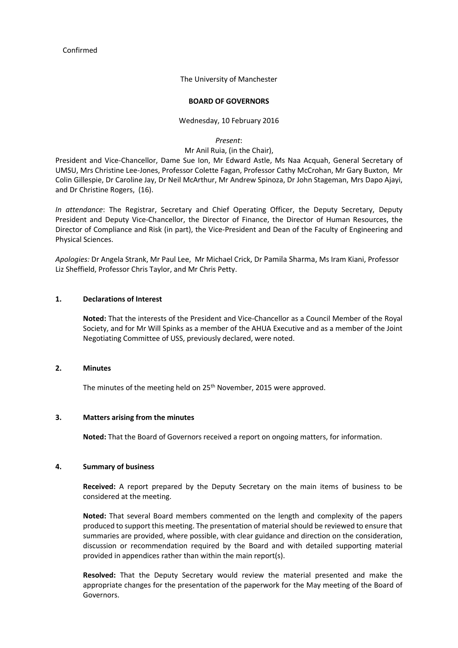Confirmed

The University of Manchester

#### **BOARD OF GOVERNORS**

#### Wednesday, 10 February 2016

*Present*:

Mr Anil Ruia, (in the Chair),

President and Vice-Chancellor, Dame Sue Ion, Mr Edward Astle, Ms Naa Acquah, General Secretary of UMSU, Mrs Christine Lee-Jones, Professor Colette Fagan, Professor Cathy McCrohan, Mr Gary Buxton, Mr Colin Gillespie, Dr Caroline Jay, Dr Neil McArthur, Mr Andrew Spinoza, Dr John Stageman, Mrs Dapo Ajayi, and Dr Christine Rogers, (16).

*In attendance*: The Registrar, Secretary and Chief Operating Officer, the Deputy Secretary, Deputy President and Deputy Vice-Chancellor, the Director of Finance, the Director of Human Resources, the Director of Compliance and Risk (in part), the Vice-President and Dean of the Faculty of Engineering and Physical Sciences.

*Apologies:* Dr Angela Strank, Mr Paul Lee, Mr Michael Crick, Dr Pamila Sharma, Ms Iram Kiani, Professor Liz Sheffield, Professor Chris Taylor, and Mr Chris Petty.

# **1. Declarations of Interest**

**Noted:** That the interests of the President and Vice-Chancellor as a Council Member of the Royal Society, and for Mr Will Spinks as a member of the AHUA Executive and as a member of the Joint Negotiating Committee of USS, previously declared, were noted.

## **2. Minutes**

The minutes of the meeting held on 25<sup>th</sup> November, 2015 were approved.

### **3. Matters arising from the minutes**

**Noted:** That the Board of Governors received a report on ongoing matters, for information.

### **4. Summary of business**

**Received:** A report prepared by the Deputy Secretary on the main items of business to be considered at the meeting.

**Noted:** That several Board members commented on the length and complexity of the papers produced to support this meeting. The presentation of material should be reviewed to ensure that summaries are provided, where possible, with clear guidance and direction on the consideration, discussion or recommendation required by the Board and with detailed supporting material provided in appendices rather than within the main report(s).

**Resolved:** That the Deputy Secretary would review the material presented and make the appropriate changes for the presentation of the paperwork for the May meeting of the Board of Governors.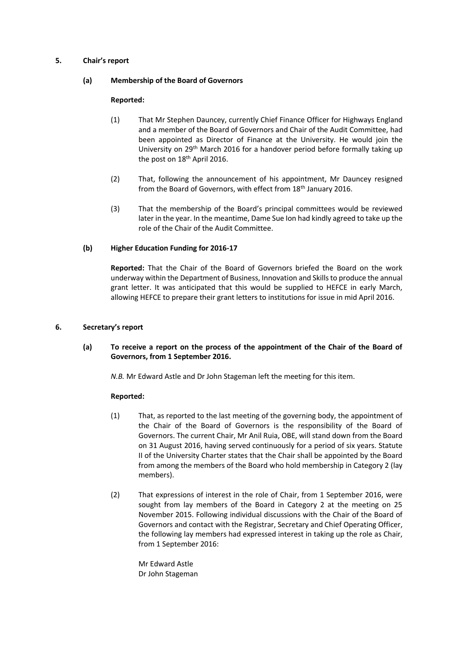## **5. Chair's report**

## **(a) Membership of the Board of Governors**

## **Reported:**

- (1) That Mr Stephen Dauncey, currently Chief Finance Officer for Highways England and a member of the Board of Governors and Chair of the Audit Committee, had been appointed as Director of Finance at the University. He would join the University on 29<sup>th</sup> March 2016 for a handover period before formally taking up the post on 18<sup>th</sup> April 2016.
- (2) That, following the announcement of his appointment, Mr Dauncey resigned from the Board of Governors, with effect from 18<sup>th</sup> January 2016.
- (3) That the membership of the Board's principal committees would be reviewed later in the year. In the meantime, Dame Sue Ion had kindly agreed to take up the role of the Chair of the Audit Committee.

## **(b) Higher Education Funding for 2016-17**

**Reported:** That the Chair of the Board of Governors briefed the Board on the work underway within the Department of Business, Innovation and Skills to produce the annual grant letter. It was anticipated that this would be supplied to HEFCE in early March, allowing HEFCE to prepare their grant letters to institutions for issue in mid April 2016.

### **6. Secretary's report**

# **(a) To receive a report on the process of the appointment of the Chair of the Board of Governors, from 1 September 2016.**

*N.B.* Mr Edward Astle and Dr John Stageman left the meeting for this item.

### **Reported:**

- (1) That, as reported to the last meeting of the governing body, the appointment of the Chair of the Board of Governors is the responsibility of the Board of Governors. The current Chair, Mr Anil Ruia, OBE, will stand down from the Board on 31 August 2016, having served continuously for a period of six years. Statute II of the University Charter states that the Chair shall be appointed by the Board from among the members of the Board who hold membership in Category 2 (lay members).
- (2) That expressions of interest in the role of Chair, from 1 September 2016, were sought from lay members of the Board in Category 2 at the meeting on 25 November 2015. Following individual discussions with the Chair of the Board of Governors and contact with the Registrar, Secretary and Chief Operating Officer, the following lay members had expressed interest in taking up the role as Chair, from 1 September 2016:

Mr Edward Astle Dr John Stageman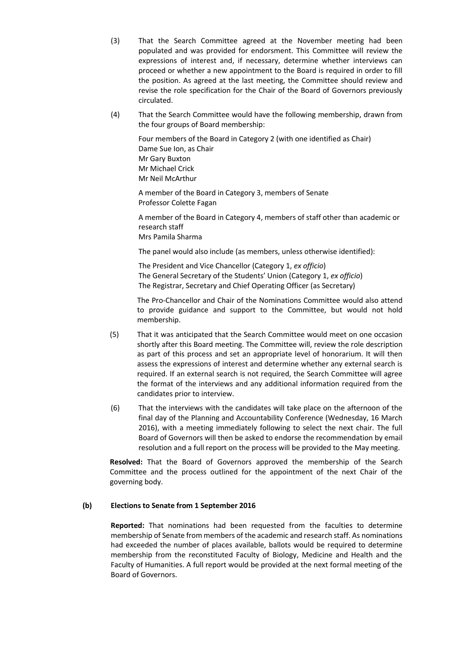- (3) That the Search Committee agreed at the November meeting had been populated and was provided for endorsment. This Committee will review the expressions of interest and, if necessary, determine whether interviews can proceed or whether a new appointment to the Board is required in order to fill the position. As agreed at the last meeting, the Committee should review and revise the role specification for the Chair of the Board of Governors previously circulated.
- (4) That the Search Committee would have the following membership, drawn from the four groups of Board membership:

Four members of the Board in Category 2 (with one identified as Chair) Dame Sue Ion, as Chair Mr Gary Buxton Mr Michael Crick Mr Neil McArthur

A member of the Board in Category 3, members of Senate Professor Colette Fagan

A member of the Board in Category 4, members of staff other than academic or research staff Mrs Pamila Sharma

The panel would also include (as members, unless otherwise identified):

The President and Vice Chancellor (Category 1, *ex officio*) The General Secretary of the Students' Union (Category 1, *ex officio*) The Registrar, Secretary and Chief Operating Officer (as Secretary)

The Pro-Chancellor and Chair of the Nominations Committee would also attend to provide guidance and support to the Committee, but would not hold membership.

- (5) That it was anticipated that the Search Committee would meet on one occasion shortly after this Board meeting. The Committee will, review the role description as part of this process and set an appropriate level of honorarium. It will then assess the expressions of interest and determine whether any external search is required. If an external search is not required, the Search Committee will agree the format of the interviews and any additional information required from the candidates prior to interview.
- (6) That the interviews with the candidates will take place on the afternoon of the final day of the Planning and Accountability Conference (Wednesday, 16 March 2016), with a meeting immediately following to select the next chair. The full Board of Governors will then be asked to endorse the recommendation by email resolution and a full report on the process will be provided to the May meeting.

**Resolved:** That the Board of Governors approved the membership of the Search Committee and the process outlined for the appointment of the next Chair of the governing body.

# **(b) Elections to Senate from 1 September 2016**

**Reported:** That nominations had been requested from the faculties to determine membership of Senate from members of the academic and research staff. As nominations had exceeded the number of places available, ballots would be required to determine membership from the reconstituted Faculty of Biology, Medicine and Health and the Faculty of Humanities. A full report would be provided at the next formal meeting of the Board of Governors.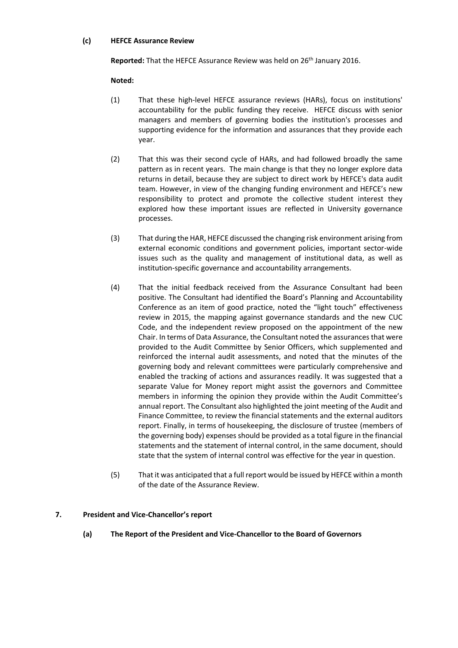### **(c) HEFCE Assurance Review**

Reported: That the HEFCE Assurance Review was held on 26<sup>th</sup> January 2016.

# **Noted:**

- (1) That these high-level HEFCE assurance reviews (HARs), focus on institutions' accountability for the public funding they receive. HEFCE discuss with senior managers and members of governing bodies the institution's processes and supporting evidence for the information and assurances that they provide each year.
- (2) That this was their second cycle of HARs, and had followed broadly the same pattern as in recent years. The main change is that they no longer explore data returns in detail, because they are subject to direct work by HEFCE's data audit team. However, in view of the changing funding environment and HEFCE's new responsibility to protect and promote the collective student interest they explored how these important issues are reflected in University governance processes.
- (3) That during the HAR, HEFCE discussed the changing risk environment arising from external economic conditions and government policies, important sector-wide issues such as the quality and management of institutional data, as well as institution-specific governance and accountability arrangements.
- (4) That the initial feedback received from the Assurance Consultant had been positive. The Consultant had identified the Board's Planning and Accountability Conference as an item of good practice, noted the "light touch" effectiveness review in 2015, the mapping against governance standards and the new CUC Code, and the independent review proposed on the appointment of the new Chair. In terms of Data Assurance, the Consultant noted the assurances that were provided to the Audit Committee by Senior Officers, which supplemented and reinforced the internal audit assessments, and noted that the minutes of the governing body and relevant committees were particularly comprehensive and enabled the tracking of actions and assurances readily. It was suggested that a separate Value for Money report might assist the governors and Committee members in informing the opinion they provide within the Audit Committee's annual report. The Consultant also highlighted the joint meeting of the Audit and Finance Committee, to review the financial statements and the external auditors report. Finally, in terms of housekeeping, the disclosure of trustee (members of the governing body) expenses should be provided as a total figure in the financial statements and the statement of internal control, in the same document, should state that the system of internal control was effective for the year in question.
- (5) That it was anticipated that a full report would be issued by HEFCE within a month of the date of the Assurance Review.

# **7. President and Vice-Chancellor's report**

**(a) The Report of the President and Vice-Chancellor to the Board of Governors**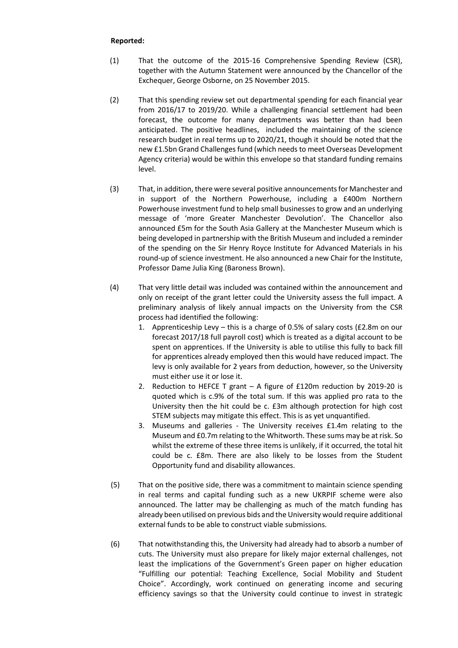- (1) That the outcome of the 2015-16 Comprehensive Spending Review (CSR), together with the Autumn Statement were announced by the Chancellor of the Exchequer, George Osborne, on 25 November 2015.
- (2) That this spending review set out departmental spending for each financial year from 2016/17 to 2019/20. While a challenging financial settlement had been forecast, the outcome for many departments was better than had been anticipated. The positive headlines, included the maintaining of the science research budget in real terms up to 2020/21, though it should be noted that the new £1.5bn Grand Challenges fund (which needs to meet Overseas Development Agency criteria) would be within this envelope so that standard funding remains level.
- (3) That, in addition, there were several positive announcements for Manchester and in support of the Northern Powerhouse, including a £400m Northern Powerhouse investment fund to help small businesses to grow and an underlying message of 'more Greater Manchester Devolution'. The Chancellor also announced £5m for the South Asia Gallery at the Manchester Museum which is being developed in partnership with the British Museum and included a reminder of the spending on the Sir Henry Royce Institute for Advanced Materials in his round-up of science investment. He also announced a new Chair for the Institute, Professor Dame Julia King (Baroness Brown).
- (4) That very little detail was included was contained within the announcement and only on receipt of the grant letter could the University assess the full impact. A preliminary analysis of likely annual impacts on the University from the CSR process had identified the following:
	- 1. Apprenticeship Levy this is a charge of 0.5% of salary costs (£2.8m on our forecast 2017/18 full payroll cost) which is treated as a digital account to be spent on apprentices. If the University is able to utilise this fully to back fill for apprentices already employed then this would have reduced impact. The levy is only available for 2 years from deduction, however, so the University must either use it or lose it.
	- 2. Reduction to HEFCE T grant A figure of £120m reduction by 2019-20 is quoted which is c.9% of the total sum. If this was applied pro rata to the University then the hit could be c. £3m although protection for high cost STEM subjects may mitigate this effect. This is as yet unquantified.
	- 3. Museums and galleries The University receives £1.4m relating to the Museum and £0.7m relating to the Whitworth. These sums may be at risk. So whilst the extreme of these three items is unlikely, if it occurred, the total hit could be c. £8m. There are also likely to be losses from the Student Opportunity fund and disability allowances.
- (5) That on the positive side, there was a commitment to maintain science spending in real terms and capital funding such as a new UKRPIF scheme were also announced. The latter may be challenging as much of the match funding has already been utilised on previous bids and the University would require additional external funds to be able to construct viable submissions.
- (6) That notwithstanding this, the University had already had to absorb a number of cuts. The University must also prepare for likely major external challenges, not least the implications of the Government's Green paper on higher education "Fulfilling our potential: Teaching Excellence, Social Mobility and Student Choice". Accordingly, work continued on generating income and securing efficiency savings so that the University could continue to invest in strategic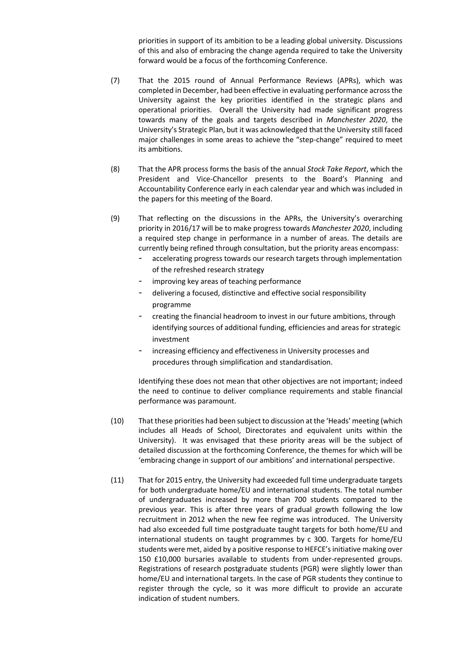priorities in support of its ambition to be a leading global university. Discussions of this and also of embracing the change agenda required to take the University forward would be a focus of the forthcoming Conference.

- (7) That the 2015 round of Annual Performance Reviews (APRs), which was completed in December, had been effective in evaluating performance across the University against the key priorities identified in the strategic plans and operational priorities. Overall the University had made significant progress towards many of the goals and targets described in *Manchester 2020*, the University's Strategic Plan, but it was acknowledged that the University still faced major challenges in some areas to achieve the "step-change" required to meet its ambitions.
- (8) That the APR process forms the basis of the annual *Stock Take Report*, which the President and Vice-Chancellor presents to the Board's Planning and Accountability Conference early in each calendar year and which was included in the papers for this meeting of the Board.
- (9) That reflecting on the discussions in the APRs, the University's overarching priority in 2016/17 will be to make progress towards *Manchester 2020*, including a required step change in performance in a number of areas. The details are currently being refined through consultation, but the priority areas encompass:
	- accelerating progress towards our research targets through implementation of the refreshed research strategy
	- improving key areas of teaching performance
	- delivering a focused, distinctive and effective social responsibility programme
	- creating the financial headroom to invest in our future ambitions, through identifying sources of additional funding, efficiencies and areas for strategic investment
	- increasing efficiency and effectiveness in University processes and procedures through simplification and standardisation.

Identifying these does not mean that other objectives are not important; indeed the need to continue to deliver compliance requirements and stable financial performance was paramount.

- (10) That these priorities had been subject to discussion at the 'Heads' meeting (which includes all Heads of School, Directorates and equivalent units within the University). It was envisaged that these priority areas will be the subject of detailed discussion at the forthcoming Conference, the themes for which will be 'embracing change in support of our ambitions' and international perspective.
- (11) That for 2015 entry, the University had exceeded full time undergraduate targets for both undergraduate home/EU and international students. The total number of undergraduates increased by more than 700 students compared to the previous year. This is after three years of gradual growth following the low recruitment in 2012 when the new fee regime was introduced. The University had also exceeded full time postgraduate taught targets for both home/EU and international students on taught programmes by c 300. Targets for home/EU students were met, aided by a positive response to HEFCE's initiative making over 150 £10,000 bursaries available to students from under-represented groups. Registrations of research postgraduate students (PGR) were slightly lower than home/EU and international targets. In the case of PGR students they continue to register through the cycle, so it was more difficult to provide an accurate indication of student numbers.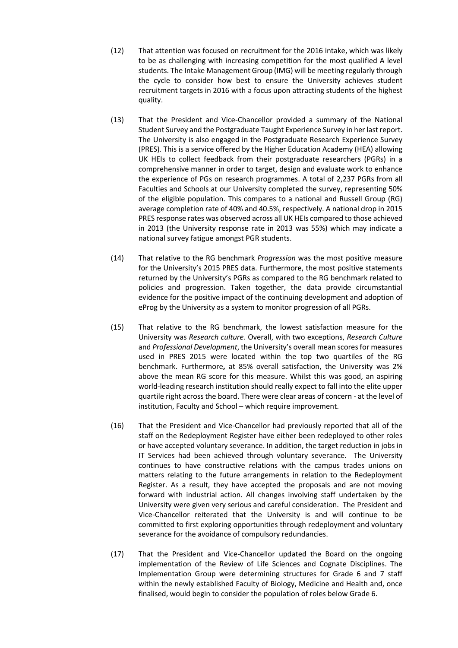- (12) That attention was focused on recruitment for the 2016 intake, which was likely to be as challenging with increasing competition for the most qualified A level students. The Intake Management Group (IMG) will be meeting regularly through the cycle to consider how best to ensure the University achieves student recruitment targets in 2016 with a focus upon attracting students of the highest quality.
- (13) That the President and Vice-Chancellor provided a summary of the National Student Survey and the Postgraduate Taught Experience Survey in her last report. The University is also engaged in the Postgraduate Research Experience Survey (PRES). This is a service offered by the Higher Education Academy (HEA) allowing UK HEIs to collect feedback from their postgraduate researchers (PGRs) in a comprehensive manner in order to target, design and evaluate work to enhance the experience of PGs on research programmes. A total of 2,237 PGRs from all Faculties and Schools at our University completed the survey, representing 50% of the eligible population. This compares to a national and Russell Group (RG) average completion rate of 40% and 40.5%, respectively. A national drop in 2015 PRES response rates was observed across all UK HEIs compared to those achieved in 2013 (the University response rate in 2013 was 55%) which may indicate a national survey fatigue amongst PGR students.
- (14) That relative to the RG benchmark *Progression* was the most positive measure for the University's 2015 PRES data. Furthermore, the most positive statements returned by the University's PGRs as compared to the RG benchmark related to policies and progression. Taken together, the data provide circumstantial evidence for the positive impact of the continuing development and adoption of eProg by the University as a system to monitor progression of all PGRs.
- (15) That relative to the RG benchmark, the lowest satisfaction measure for the University was *Research culture.* Overall, with two exceptions, *Research Culture* and *Professional Development*, the University's overall mean scores for measures used in PRES 2015 were located within the top two quartiles of the RG benchmark. Furthermore**,** at 85% overall satisfaction, the University was 2% above the mean RG score for this measure. Whilst this was good, an aspiring world-leading research institution should really expect to fall into the elite upper quartile right across the board. There were clear areas of concern - at the level of institution, Faculty and School – which require improvement.
- (16) That the President and Vice-Chancellor had previously reported that all of the staff on the Redeployment Register have either been redeployed to other roles or have accepted voluntary severance. In addition, the target reduction in jobs in IT Services had been achieved through voluntary severance. The University continues to have constructive relations with the campus trades unions on matters relating to the future arrangements in relation to the Redeployment Register. As a result, they have accepted the proposals and are not moving forward with industrial action. All changes involving staff undertaken by the University were given very serious and careful consideration. The President and Vice-Chancellor reiterated that the University is and will continue to be committed to first exploring opportunities through redeployment and voluntary severance for the avoidance of compulsory redundancies.
- (17) That the President and Vice-Chancellor updated the Board on the ongoing implementation of the Review of Life Sciences and Cognate Disciplines. The Implementation Group were determining structures for Grade 6 and 7 staff within the newly established Faculty of Biology, Medicine and Health and, once finalised, would begin to consider the population of roles below Grade 6.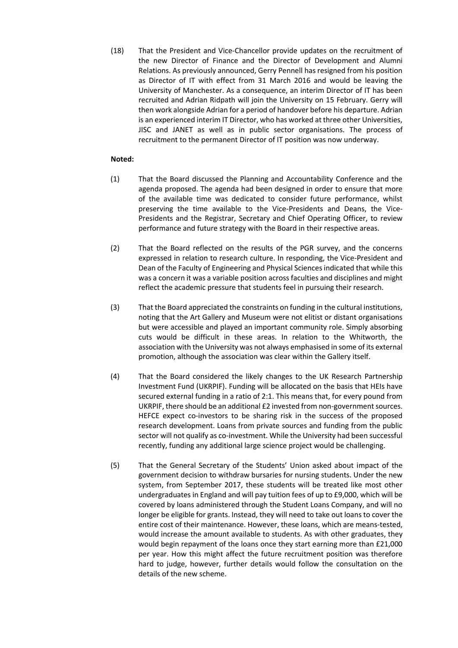(18) That the President and Vice-Chancellor provide updates on the recruitment of the new Director of Finance and the Director of Development and Alumni Relations. As previously announced, Gerry Pennell has resigned from his position as Director of IT with effect from 31 March 2016 and would be leaving the University of Manchester. As a consequence, an interim Director of IT has been recruited and Adrian Ridpath will join the University on 15 February. Gerry will then work alongside Adrian for a period of handover before his departure. Adrian is an experienced interim IT Director, who has worked at three other Universities, JISC and JANET as well as in public sector organisations. The process of recruitment to the permanent Director of IT position was now underway.

## **Noted:**

- (1) That the Board discussed the Planning and Accountability Conference and the agenda proposed. The agenda had been designed in order to ensure that more of the available time was dedicated to consider future performance, whilst preserving the time available to the Vice-Presidents and Deans, the Vice-Presidents and the Registrar, Secretary and Chief Operating Officer, to review performance and future strategy with the Board in their respective areas.
- (2) That the Board reflected on the results of the PGR survey, and the concerns expressed in relation to research culture. In responding, the Vice-President and Dean of the Faculty of Engineering and Physical Sciences indicated that while this was a concern it was a variable position across faculties and disciplines and might reflect the academic pressure that students feel in pursuing their research.
- (3) That the Board appreciated the constraints on funding in the cultural institutions, noting that the Art Gallery and Museum were not elitist or distant organisations but were accessible and played an important community role. Simply absorbing cuts would be difficult in these areas. In relation to the Whitworth, the association with the University was not always emphasised in some of its external promotion, although the association was clear within the Gallery itself.
- (4) That the Board considered the likely changes to the UK Research Partnership Investment Fund (UKRPIF). Funding will be allocated on the basis that HEIs have secured external funding in a ratio of 2:1. This means that, for every pound from UKRPIF, there should be an additional £2 invested from non-government sources. HEFCE expect co-investors to be sharing risk in the success of the proposed research development. Loans from private sources and funding from the public sector will not qualify as co-investment. While the University had been successful recently, funding any additional large science project would be challenging.
- (5) That the General Secretary of the Students' Union asked about impact of the government decision to withdraw bursaries for nursing students. Under the new system, from September 2017, these students will be treated like most other undergraduates in England and will pay tuition fees of up to £9,000, which will be covered by loans administered through the Student Loans Company, and will no longer be eligible for grants. Instead, they will need to take out loans to cover the entire cost of their maintenance. However, these loans, which are means-tested, would increase the amount available to students. As with other graduates, they would begin repayment of the loans once they start earning more than £21,000 per year. How this might affect the future recruitment position was therefore hard to judge, however, further details would follow the consultation on the details of the new scheme.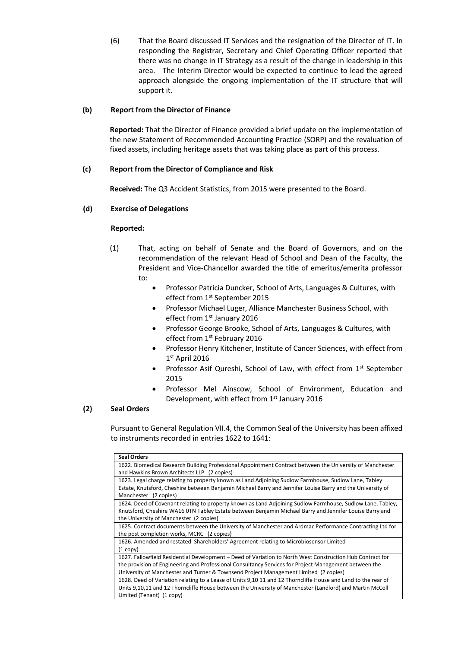(6) That the Board discussed IT Services and the resignation of the Director of IT. In responding the Registrar, Secretary and Chief Operating Officer reported that there was no change in IT Strategy as a result of the change in leadership in this area. The Interim Director would be expected to continue to lead the agreed approach alongside the ongoing implementation of the IT structure that will support it.

# **(b) Report from the Director of Finance**

**Reported:** That the Director of Finance provided a brief update on the implementation of the new Statement of Recommended Accounting Practice (SORP) and the revaluation of fixed assets, including heritage assets that was taking place as part of this process.

## **(c) Report from the Director of Compliance and Risk**

**Received:** The Q3 Accident Statistics, from 2015 were presented to the Board.

## **(d) Exercise of Delegations**

### **Reported:**

- (1) That, acting on behalf of Senate and the Board of Governors, and on the recommendation of the relevant Head of School and Dean of the Faculty, the President and Vice-Chancellor awarded the title of emeritus/emerita professor to:
	- Professor Patricia Duncker, School of Arts, Languages & Cultures, with effect from 1<sup>st</sup> September 2015
	- Professor Michael Luger, Alliance Manchester Business School, with effect from 1<sup>st</sup> January 2016
	- Professor George Brooke, School of Arts, Languages & Cultures, with effect from 1<sup>st</sup> February 2016
	- Professor Henry Kitchener, Institute of Cancer Sciences, with effect from 1 st April 2016
	- Professor Asif Qureshi, School of Law, with effect from 1st September 2015
	- Professor Mel Ainscow, School of Environment, Education and Development, with effect from 1st January 2016

# **(2) Seal Orders**

Pursuant to General Regulation VII.4, the Common Seal of the University has been affixed to instruments recorded in entries 1622 to 1641:

| <b>Seal Orders</b>                                                                                            |
|---------------------------------------------------------------------------------------------------------------|
| 1622. Biomedical Research Building Professional Appointment Contract between the University of Manchester     |
| and Hawkins Brown Architects LLP (2 copies)                                                                   |
| 1623. Legal charge relating to property known as Land Adjoining Sudlow Farmhouse, Sudlow Lane, Tabley         |
| Estate, Knutsford, Cheshire between Benjamin Michael Barry and Jennifer Louise Barry and the University of    |
| Manchester (2 copies)                                                                                         |
| 1624. Deed of Covenant relating to property known as Land Adjoining Sudlow Farmhouse, Sudlow Lane, Tabley,    |
| Knutsford, Cheshire WA16 0TN Tabley Estate between Benjamin Michael Barry and Jennifer Louise Barry and       |
| the University of Manchester (2 copies)                                                                       |
| 1625. Contract documents between the University of Manchester and Ardmac Performance Contracting Ltd for      |
| the post completion works, MCRC (2 copies)                                                                    |
| 1626. Amended and restated Shareholders' Agreement relating to Microbiosensor Limited                         |
| $(1 \text{ copy})$                                                                                            |
| 1627. Fallowfield Residential Development – Deed of Variation to North West Construction Hub Contract for     |
| the provision of Engineering and Professional Consultancy Services for Project Management between the         |
| University of Manchester and Turner & Townsend Project Management Limited (2 copies)                          |
| 1628. Deed of Variation relating to a Lease of Units 9,10 11 and 12 Thorncliffe House and Land to the rear of |
| Units 9,10,11 and 12 Thorncliffe House between the University of Manchester (Landlord) and Martin McColl      |
| Limited (Tenant) (1 copy)                                                                                     |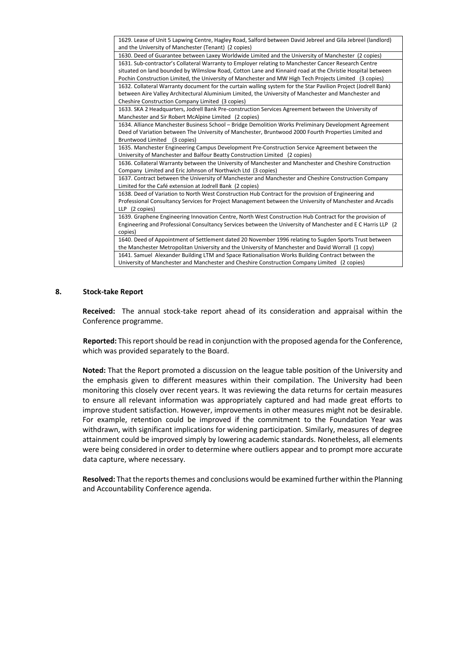| 1629. Lease of Unit 5 Lapwing Centre, Hagley Road, Salford between David Jebreel and Gila Jebreel (landlord)   |
|----------------------------------------------------------------------------------------------------------------|
| and the University of Manchester (Tenant) (2 copies)                                                           |
| 1630. Deed of Guarantee between Laxey Worldwide Limited and the University of Manchester (2 copies)            |
| 1631. Sub-contractor's Collateral Warranty to Employer relating to Manchester Cancer Research Centre           |
| situated on land bounded by Wilmslow Road, Cotton Lane and Kinnaird road at the Christie Hospital between      |
| Pochin Construction Limited, the University of Manchester and MW High Tech Projects Limited (3 copies)         |
| 1632. Collateral Warranty document for the curtain walling system for the Star Pavilion Project (Jodrell Bank) |
| between Aire Valley Architectural Aluminium Limited, the University of Manchester and Manchester and           |
| Cheshire Construction Company Limited (3 copies)                                                               |
| 1633. SKA 2 Headquarters, Jodrell Bank Pre-construction Services Agreement between the University of           |
| Manchester and Sir Robert McAlpine Limited (2 copies)                                                          |
| 1634. Alliance Manchester Business School - Bridge Demolition Works Preliminary Development Agreement          |
| Deed of Variation between The University of Manchester, Bruntwood 2000 Fourth Properties Limited and           |
| Bruntwood Limited (3 copies)                                                                                   |
| 1635. Manchester Engineering Campus Development Pre-Construction Service Agreement between the                 |
| University of Manchester and Balfour Beatty Construction Limited (2 copies)                                    |
| 1636. Collateral Warranty between the University of Manchester and Manchester and Cheshire Construction        |
| Company Limited and Eric Johnson of Northwich Ltd (3 copies)                                                   |
| 1637. Contract between the University of Manchester and Manchester and Cheshire Construction Company           |
| Limited for the Café extension at Jodrell Bank (2 copies)                                                      |
| 1638. Deed of Variation to North West Construction Hub Contract for the provision of Engineering and           |
| Professional Consultancy Services for Project Management between the University of Manchester and Arcadis      |
| LLP (2 copies)                                                                                                 |
| 1639. Graphene Engineering Innovation Centre, North West Construction Hub Contract for the provision of        |
| Engineering and Professional Consultancy Services between the University of Manchester and E C Harris LLP (2)  |
| copies)                                                                                                        |
| 1640. Deed of Appointment of Settlement dated 20 November 1996 relating to Sugden Sports Trust between         |
| the Manchester Metropolitan University and the University of Manchester and David Worrall (1 copy)             |
| 1641. Samuel Alexander Building LTM and Space Rationalisation Works Building Contract between the              |
| University of Manchester and Manchester and Cheshire Construction Company Limited (2 copies)                   |
|                                                                                                                |

#### **8. Stock-take Report**

**Received:** The annual stock-take report ahead of its consideration and appraisal within the Conference programme.

**Reported:** This report should be read in conjunction with the proposed agenda for the Conference, which was provided separately to the Board.

**Noted:** That the Report promoted a discussion on the league table position of the University and the emphasis given to different measures within their compilation. The University had been monitoring this closely over recent years. It was reviewing the data returns for certain measures to ensure all relevant information was appropriately captured and had made great efforts to improve student satisfaction. However, improvements in other measures might not be desirable. For example, retention could be improved if the commitment to the Foundation Year was withdrawn, with significant implications for widening participation. Similarly, measures of degree attainment could be improved simply by lowering academic standards. Nonetheless, all elements were being considered in order to determine where outliers appear and to prompt more accurate data capture, where necessary.

**Resolved:** That the reports themes and conclusions would be examined further within the Planning and Accountability Conference agenda.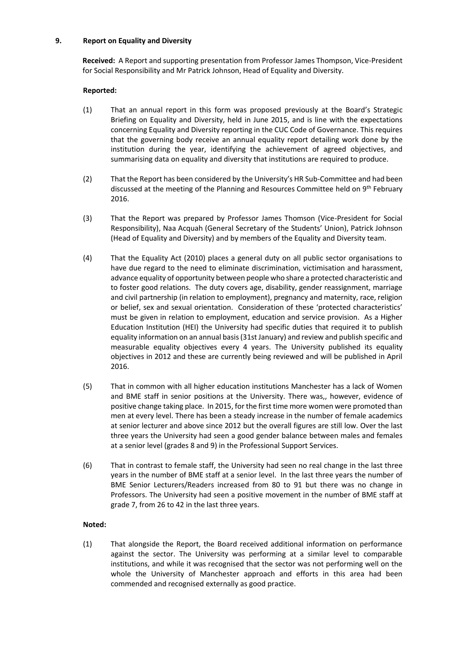## **9. Report on Equality and Diversity**

**Received:** A Report and supporting presentation from Professor James Thompson, Vice-President for Social Responsibility and Mr Patrick Johnson, Head of Equality and Diversity.

# **Reported:**

- (1) That an annual report in this form was proposed previously at the Board's Strategic Briefing on Equality and Diversity, held in June 2015, and is line with the expectations concerning Equality and Diversity reporting in the CUC Code of Governance. This requires that the governing body receive an annual equality report detailing work done by the institution during the year, identifying the achievement of agreed objectives, and summarising data on equality and diversity that institutions are required to produce.
- (2) That the Report has been considered by the University's HR Sub-Committee and had been discussed at the meeting of the Planning and Resources Committee held on 9<sup>th</sup> February 2016.
- (3) That the Report was prepared by Professor James Thomson (Vice-President for Social Responsibility), Naa Acquah (General Secretary of the Students' Union), Patrick Johnson (Head of Equality and Diversity) and by members of the Equality and Diversity team.
- (4) That the Equality Act (2010) places a general duty on all public sector organisations to have due regard to the need to eliminate discrimination, victimisation and harassment, advance equality of opportunity between people who share a protected characteristic and to foster good relations. The duty covers age, disability, gender reassignment, marriage and civil partnership (in relation to employment), pregnancy and maternity, race, religion or belief, sex and sexual orientation. Consideration of these 'protected characteristics' must be given in relation to employment, education and service provision. As a Higher Education Institution (HEI) the University had specific duties that required it to publish equality information on an annual basis (31st January) and review and publish specific and measurable equality objectives every 4 years. The University published its equality objectives in 2012 and these are currently being reviewed and will be published in April 2016.
- (5) That in common with all higher education institutions Manchester has a lack of Women and BME staff in senior positions at the University. There was,, however, evidence of positive change taking place. In 2015, for the first time more women were promoted than men at every level. There has been a steady increase in the number of female academics at senior lecturer and above since 2012 but the overall figures are still low. Over the last three years the University had seen a good gender balance between males and females at a senior level (grades 8 and 9) in the Professional Support Services.
- (6) That in contrast to female staff, the University had seen no real change in the last three years in the number of BME staff at a senior level. In the last three years the number of BME Senior Lecturers/Readers increased from 80 to 91 but there was no change in Professors. The University had seen a positive movement in the number of BME staff at grade 7, from 26 to 42 in the last three years.

# **Noted:**

(1) That alongside the Report, the Board received additional information on performance against the sector. The University was performing at a similar level to comparable institutions, and while it was recognised that the sector was not performing well on the whole the University of Manchester approach and efforts in this area had been commended and recognised externally as good practice.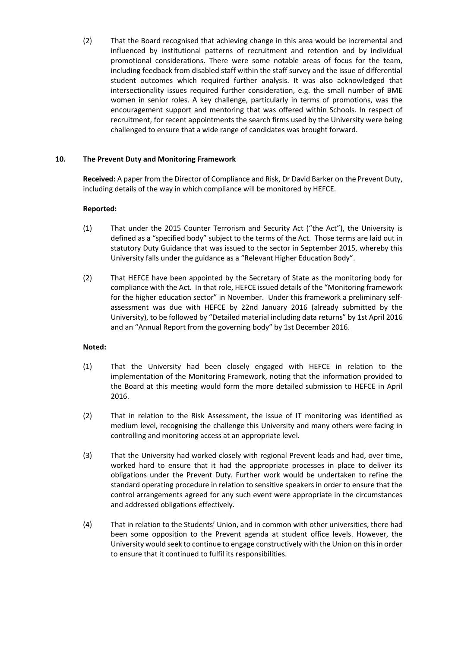(2) That the Board recognised that achieving change in this area would be incremental and influenced by institutional patterns of recruitment and retention and by individual promotional considerations. There were some notable areas of focus for the team, including feedback from disabled staff within the staff survey and the issue of differential student outcomes which required further analysis. It was also acknowledged that intersectionality issues required further consideration, e.g. the small number of BME women in senior roles. A key challenge, particularly in terms of promotions, was the encouragement support and mentoring that was offered within Schools. In respect of recruitment, for recent appointments the search firms used by the University were being challenged to ensure that a wide range of candidates was brought forward.

## **10. The Prevent Duty and Monitoring Framework**

**Received:** A paper from the Director of Compliance and Risk, Dr David Barker on the Prevent Duty, including details of the way in which compliance will be monitored by HEFCE.

## **Reported:**

- (1) That under the 2015 Counter Terrorism and Security Act ("the Act"), the University is defined as a "specified body" subject to the terms of the Act. Those terms are laid out in statutory Duty Guidance that was issued to the sector in September 2015, whereby this University falls under the guidance as a "Relevant Higher Education Body".
- (2) That HEFCE have been appointed by the Secretary of State as the monitoring body for compliance with the Act. In that role, HEFCE issued details of the "Monitoring framework for the higher education sector" in November. Under this framework a preliminary selfassessment was due with HEFCE by 22nd January 2016 (already submitted by the University), to be followed by "Detailed material including data returns" by 1st April 2016 and an "Annual Report from the governing body" by 1st December 2016.

### **Noted:**

- (1) That the University had been closely engaged with HEFCE in relation to the implementation of the Monitoring Framework, noting that the information provided to the Board at this meeting would form the more detailed submission to HEFCE in April 2016.
- (2) That in relation to the Risk Assessment, the issue of IT monitoring was identified as medium level, recognising the challenge this University and many others were facing in controlling and monitoring access at an appropriate level.
- (3) That the University had worked closely with regional Prevent leads and had, over time, worked hard to ensure that it had the appropriate processes in place to deliver its obligations under the Prevent Duty. Further work would be undertaken to refine the standard operating procedure in relation to sensitive speakers in order to ensure that the control arrangements agreed for any such event were appropriate in the circumstances and addressed obligations effectively.
- (4) That in relation to the Students' Union, and in common with other universities, there had been some opposition to the Prevent agenda at student office levels. However, the University would seek to continue to engage constructively with the Union on this in order to ensure that it continued to fulfil its responsibilities.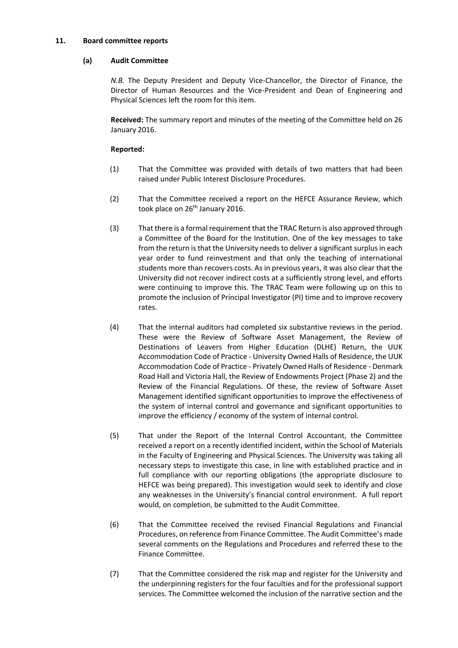### **11. Board committee reports**

### **(a) Audit Committee**

*N.B.* The Deputy President and Deputy Vice-Chancellor, the Director of Finance, the Director of Human Resources and the Vice-President and Dean of Engineering and Physical Sciences left the room for this item.

**Received:** The summary report and minutes of the meeting of the Committee held on 26 January 2016.

- (1) That the Committee was provided with details of two matters that had been raised under Public Interest Disclosure Procedures.
- (2) That the Committee received a report on the HEFCE Assurance Review, which took place on 26<sup>th</sup> January 2016.
- (3) That there is a formal requirement that the TRAC Return is also approved through a Committee of the Board for the Institution. One of the key messages to take from the return is that the University needs to deliver a significant surplus in each year order to fund reinvestment and that only the teaching of international students more than recovers costs. As in previous years, it was also clear that the University did not recover indirect costs at a sufficiently strong level, and efforts were continuing to improve this. The TRAC Team were following up on this to promote the inclusion of Principal Investigator (PI) time and to improve recovery rates.
- (4) That the internal auditors had completed six substantive reviews in the period. These were the Review of Software Asset Management, the Review of Destinations of Leavers from Higher Education (DLHE) Return, the UUK Accommodation Code of Practice - University Owned Halls of Residence, the UUK Accommodation Code of Practice - Privately Owned Halls of Residence - Denmark Road Hall and Victoria Hall, the Review of Endowments Project (Phase 2) and the Review of the Financial Regulations. Of these, the review of Software Asset Management identified significant opportunities to improve the effectiveness of the system of internal control and governance and significant opportunities to improve the efficiency / economy of the system of internal control.
- (5) That under the Report of the Internal Control Accountant, the Committee received a report on a recently identified incident, within the School of Materials in the Faculty of Engineering and Physical Sciences. The University was taking all necessary steps to investigate this case, in line with established practice and in full compliance with our reporting obligations (the appropriate disclosure to HEFCE was being prepared). This investigation would seek to identify and close any weaknesses in the University's financial control environment. A full report would, on completion, be submitted to the Audit Committee.
- (6) That the Committee received the revised Financial Regulations and Financial Procedures, on reference from Finance Committee. The Audit Committee's made several comments on the Regulations and Procedures and referred these to the Finance Committee.
- (7) That the Committee considered the risk map and register for the University and the underpinning registers for the four faculties and for the professional support services. The Committee welcomed the inclusion of the narrative section and the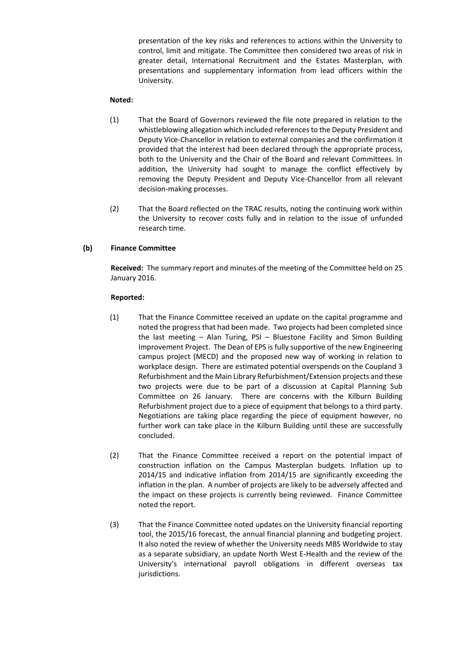presentation of the key risks and references to actions within the University to control, limit and mitigate. The Committee then considered two areas of risk in greater detail, International Recruitment and the Estates Masterplan, with presentations and supplementary information from lead officers within the University.

# **Noted:**

- (1) That the Board of Governors reviewed the file note prepared in relation to the whistleblowing allegation which included references to the Deputy President and Deputy Vice-Chancellor in relation to external companies and the confirmation it provided that the interest had been declared through the appropriate process, both to the University and the Chair of the Board and relevant Committees. In addition, the University had sought to manage the conflict effectively by removing the Deputy President and Deputy Vice-Chancellor from all relevant decision-making processes.
- (2) That the Board reflected on the TRAC results, noting the continuing work within the University to recover costs fully and in relation to the issue of unfunded research time.

# **(b) Finance Committee**

**Received:** The summary report and minutes of the meeting of the Committee held on 25 January 2016.

- (1) That the Finance Committee received an update on the capital programme and noted the progress that had been made. Two projects had been completed since the last meeting – Alan Turing, PSI – Bluestone Facility and Simon Building Improvement Project. The Dean of EPS is fully supportive of the new Engineering campus project (MECD) and the proposed new way of working in relation to workplace design. There are estimated potential overspends on the Coupland 3 Refurbishment and the Main Library Refurbishment/Extension projects and these two projects were due to be part of a discussion at Capital Planning Sub Committee on 26 January. There are concerns with the Kilburn Building Refurbishment project due to a piece of equipment that belongs to a third party. Negotiations are taking place regarding the piece of equipment however, no further work can take place in the Kilburn Building until these are successfully concluded.
- (2) That the Finance Committee received a report on the potential impact of construction inflation on the Campus Masterplan budgets. Inflation up to 2014/15 and indicative inflation from 2014/15 are significantly exceeding the inflation in the plan. A number of projects are likely to be adversely affected and the impact on these projects is currently being reviewed. Finance Committee noted the report.
- (3) That the Finance Committee noted updates on the University financial reporting tool, the 2015/16 forecast, the annual financial planning and budgeting project. It also noted the review of whether the University needs MBS Worldwide to stay as a separate subsidiary, an update North West E-Health and the review of the University's international payroll obligations in different overseas tax jurisdictions.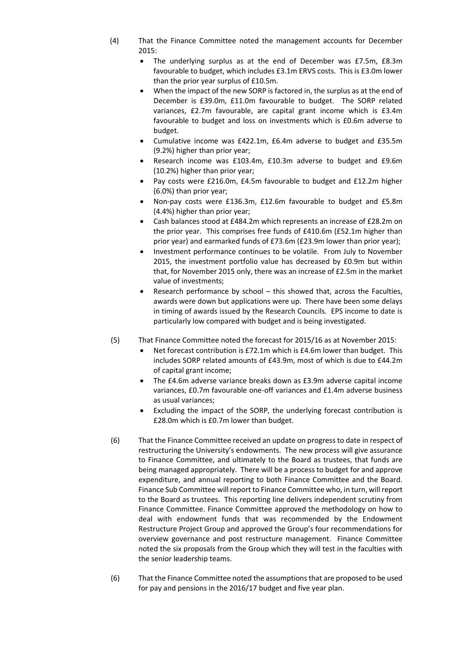- (4) That the Finance Committee noted the management accounts for December 2015:
	- The underlying surplus as at the end of December was £7.5m, £8.3m favourable to budget, which includes £3.1m ERVS costs. This is £3.0m lower than the prior year surplus of £10.5m.
	- When the impact of the new SORP is factored in, the surplus as at the end of December is £39.0m, £11.0m favourable to budget. The SORP related variances, £2.7m favourable, are capital grant income which is £3.4m favourable to budget and loss on investments which is £0.6m adverse to budget.
	- Cumulative income was £422.1m, £6.4m adverse to budget and £35.5m (9.2%) higher than prior year;
	- Research income was £103.4m, £10.3m adverse to budget and £9.6m (10.2%) higher than prior year;
	- Pay costs were £216.0m, £4.5m favourable to budget and £12.2m higher (6.0%) than prior year;
	- Non-pay costs were £136.3m, £12.6m favourable to budget and £5.8m (4.4%) higher than prior year;
	- Cash balances stood at £484.2m which represents an increase of £28.2m on the prior year. This comprises free funds of £410.6m (£52.1m higher than prior year) and earmarked funds of £73.6m (£23.9m lower than prior year);
	- Investment performance continues to be volatile. From July to November 2015, the investment portfolio value has decreased by £0.9m but within that, for November 2015 only, there was an increase of £2.5m in the market value of investments;
	- Research performance by school this showed that, across the Faculties, awards were down but applications were up. There have been some delays in timing of awards issued by the Research Councils. EPS income to date is particularly low compared with budget and is being investigated.
- (5) That Finance Committee noted the forecast for 2015/16 as at November 2015:
	- Net forecast contribution is £72.1m which is £4.6m lower than budget. This includes SORP related amounts of £43.9m, most of which is due to £44.2m of capital grant income;
	- The £4.6m adverse variance breaks down as £3.9m adverse capital income variances, £0.7m favourable one-off variances and £1.4m adverse business as usual variances;
	- Excluding the impact of the SORP, the underlying forecast contribution is £28.0m which is £0.7m lower than budget.
- (6) That the Finance Committee received an update on progress to date in respect of restructuring the University's endowments. The new process will give assurance to Finance Committee, and ultimately to the Board as trustees, that funds are being managed appropriately. There will be a process to budget for and approve expenditure, and annual reporting to both Finance Committee and the Board. Finance Sub Committee will report to Finance Committee who, in turn, will report to the Board as trustees. This reporting line delivers independent scrutiny from Finance Committee. Finance Committee approved the methodology on how to deal with endowment funds that was recommended by the Endowment Restructure Project Group and approved the Group's four recommendations for overview governance and post restructure management. Finance Committee noted the six proposals from the Group which they will test in the faculties with the senior leadership teams.
- (6) That the Finance Committee noted the assumptions that are proposed to be used for pay and pensions in the 2016/17 budget and five year plan.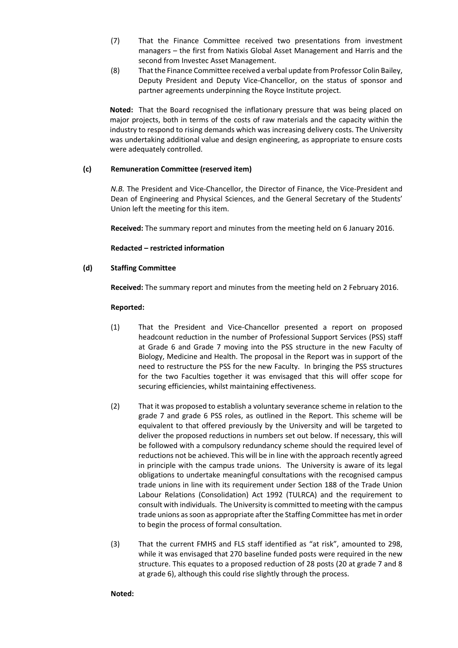- (7) That the Finance Committee received two presentations from investment managers – the first from Natixis Global Asset Management and Harris and the second from Investec Asset Management.
- (8) That the Finance Committee received a verbal update from Professor Colin Bailey, Deputy President and Deputy Vice-Chancellor, on the status of sponsor and partner agreements underpinning the Royce Institute project.

**Noted:** That the Board recognised the inflationary pressure that was being placed on major projects, both in terms of the costs of raw materials and the capacity within the industry to respond to rising demands which was increasing delivery costs. The University was undertaking additional value and design engineering, as appropriate to ensure costs were adequately controlled.

# **(c) Remuneration Committee (reserved item)**

*N.B.* The President and Vice-Chancellor, the Director of Finance, the Vice-President and Dean of Engineering and Physical Sciences, and the General Secretary of the Students' Union left the meeting for this item.

**Received:** The summary report and minutes from the meeting held on 6 January 2016.

**Redacted – restricted information** 

## **(d) Staffing Committee**

**Received:** The summary report and minutes from the meeting held on 2 February 2016.

### **Reported:**

- (1) That the President and Vice-Chancellor presented a report on proposed headcount reduction in the number of Professional Support Services (PSS) staff at Grade 6 and Grade 7 moving into the PSS structure in the new Faculty of Biology, Medicine and Health. The proposal in the Report was in support of the need to restructure the PSS for the new Faculty. In bringing the PSS structures for the two Faculties together it was envisaged that this will offer scope for securing efficiencies, whilst maintaining effectiveness.
- (2) That it was proposed to establish a voluntary severance scheme in relation to the grade 7 and grade 6 PSS roles, as outlined in the Report. This scheme will be equivalent to that offered previously by the University and will be targeted to deliver the proposed reductions in numbers set out below. If necessary, this will be followed with a compulsory redundancy scheme should the required level of reductions not be achieved. This will be in line with the approach recently agreed in principle with the campus trade unions. The University is aware of its legal obligations to undertake meaningful consultations with the recognised campus trade unions in line with its requirement under Section 188 of the Trade Union Labour Relations (Consolidation) Act 1992 (TULRCA) and the requirement to consult with individuals. The University is committed to meeting with the campus trade unions as soon as appropriate after the Staffing Committee has met in order to begin the process of formal consultation.
- (3) That the current FMHS and FLS staff identified as "at risk", amounted to 298, while it was envisaged that 270 baseline funded posts were required in the new structure. This equates to a proposed reduction of 28 posts (20 at grade 7 and 8 at grade 6), although this could rise slightly through the process.

### **Noted:**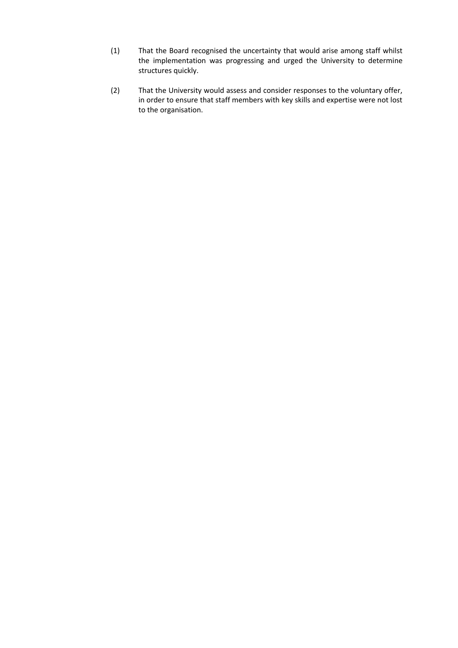- (1) That the Board recognised the uncertainty that would arise among staff whilst the implementation was progressing and urged the University to determine structures quickly.
- (2) That the University would assess and consider responses to the voluntary offer, in order to ensure that staff members with key skills and expertise were not lost to the organisation.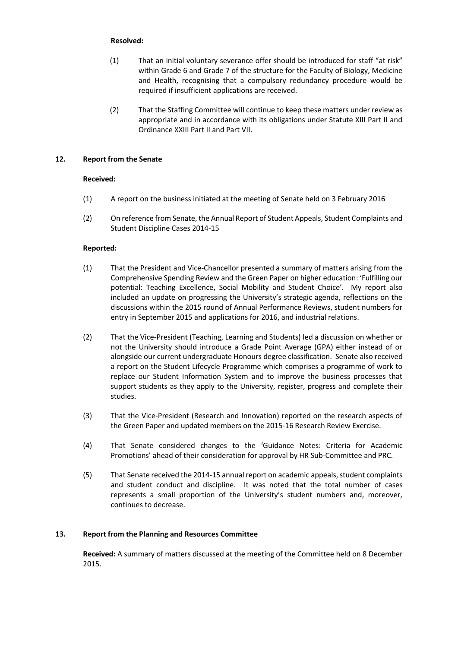### **Resolved:**

- (1) That an initial voluntary severance offer should be introduced for staff "at risk" within Grade 6 and Grade 7 of the structure for the Faculty of Biology, Medicine and Health, recognising that a compulsory redundancy procedure would be required if insufficient applications are received.
- (2) That the Staffing Committee will continue to keep these matters under review as appropriate and in accordance with its obligations under Statute XIII Part II and Ordinance XXIII Part II and Part VII.

#### **12. Report from the Senate**

#### **Received:**

- (1) A report on the business initiated at the meeting of Senate held on 3 February 2016
- (2) On reference from Senate, the Annual Report of Student Appeals, Student Complaints and Student Discipline Cases 2014-15

#### **Reported:**

- (1) That the President and Vice-Chancellor presented a summary of matters arising from the Comprehensive Spending Review and the Green Paper on higher education: 'Fulfilling our potential: Teaching Excellence, Social Mobility and Student Choice'. My report also included an update on progressing the University's strategic agenda, reflections on the discussions within the 2015 round of Annual Performance Reviews, student numbers for entry in September 2015 and applications for 2016, and industrial relations.
- (2) That the Vice-President (Teaching, Learning and Students) led a discussion on whether or not the University should introduce a Grade Point Average (GPA) either instead of or alongside our current undergraduate Honours degree classification. Senate also received a report on the Student Lifecycle Programme which comprises a programme of work to replace our Student Information System and to improve the business processes that support students as they apply to the University, register, progress and complete their studies.
- (3) That the Vice-President (Research and Innovation) reported on the research aspects of the Green Paper and updated members on the 2015-16 Research Review Exercise.
- (4) That Senate considered changes to the 'Guidance Notes: Criteria for Academic Promotions' ahead of their consideration for approval by HR Sub-Committee and PRC.
- (5) That Senate received the 2014-15 annual report on academic appeals, student complaints and student conduct and discipline. It was noted that the total number of cases represents a small proportion of the University's student numbers and, moreover, continues to decrease.

# **13. Report from the Planning and Resources Committee**

**Received:** A summary of matters discussed at the meeting of the Committee held on 8 December 2015.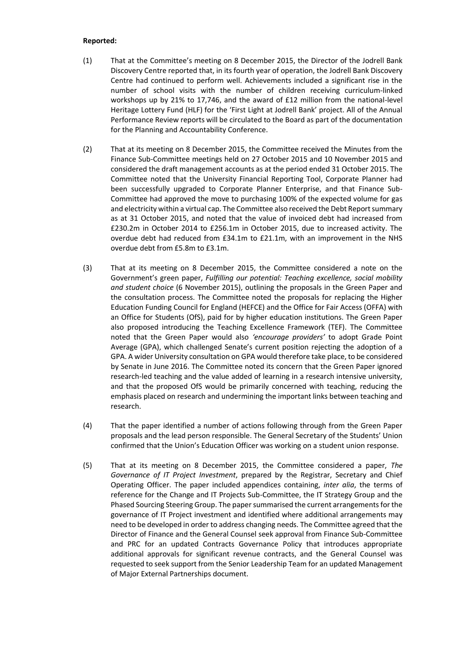- (1) That at the Committee's meeting on 8 December 2015, the Director of the Jodrell Bank Discovery Centre reported that, in its fourth year of operation, the Jodrell Bank Discovery Centre had continued to perform well. Achievements included a significant rise in the number of school visits with the number of children receiving curriculum-linked workshops up by 21% to 17,746, and the award of £12 million from the national-level Heritage Lottery Fund (HLF) for the 'First Light at Jodrell Bank' project. All of the Annual Performance Review reports will be circulated to the Board as part of the documentation for the Planning and Accountability Conference.
- (2) That at its meeting on 8 December 2015, the Committee received the Minutes from the Finance Sub-Committee meetings held on 27 October 2015 and 10 November 2015 and considered the draft management accounts as at the period ended 31 October 2015. The Committee noted that the University Financial Reporting Tool, Corporate Planner had been successfully upgraded to Corporate Planner Enterprise, and that Finance Sub-Committee had approved the move to purchasing 100% of the expected volume for gas and electricity within a virtual cap. The Committee also received the Debt Report summary as at 31 October 2015, and noted that the value of invoiced debt had increased from £230.2m in October 2014 to £256.1m in October 2015, due to increased activity. The overdue debt had reduced from £34.1m to £21.1m, with an improvement in the NHS overdue debt from £5.8m to £3.1m.
- (3) That at its meeting on 8 December 2015, the Committee considered a note on the Government's green paper, *Fulfilling our potential: Teaching excellence, social mobility and student choice* (6 November 2015), outlining the proposals in the Green Paper and the consultation process. The Committee noted the proposals for replacing the Higher Education Funding Council for England (HEFCE) and the Office for Fair Access (OFFA) with an Office for Students (OfS), paid for by higher education institutions. The Green Paper also proposed introducing the Teaching Excellence Framework (TEF). The Committee noted that the Green Paper would also *'encourage providers'* to adopt Grade Point Average (GPA), which challenged Senate's current position rejecting the adoption of a GPA. A wider University consultation on GPA would therefore take place, to be considered by Senate in June 2016. The Committee noted its concern that the Green Paper ignored research-led teaching and the value added of learning in a research intensive university, and that the proposed OfS would be primarily concerned with teaching, reducing the emphasis placed on research and undermining the important links between teaching and research.
- (4) That the paper identified a number of actions following through from the Green Paper proposals and the lead person responsible. The General Secretary of the Students' Union confirmed that the Union's Education Officer was working on a student union response.
- (5) That at its meeting on 8 December 2015, the Committee considered a paper, *The Governance of IT Project Investment*, prepared by the Registrar, Secretary and Chief Operating Officer. The paper included appendices containing, *inter alia*, the terms of reference for the Change and IT Projects Sub-Committee, the IT Strategy Group and the Phased Sourcing Steering Group. The paper summarised the current arrangements for the governance of IT Project investment and identified where additional arrangements may need to be developed in order to address changing needs. The Committee agreed that the Director of Finance and the General Counsel seek approval from Finance Sub-Committee and PRC for an updated Contracts Governance Policy that introduces appropriate additional approvals for significant revenue contracts, and the General Counsel was requested to seek support from the Senior Leadership Team for an updated Management of Major External Partnerships document.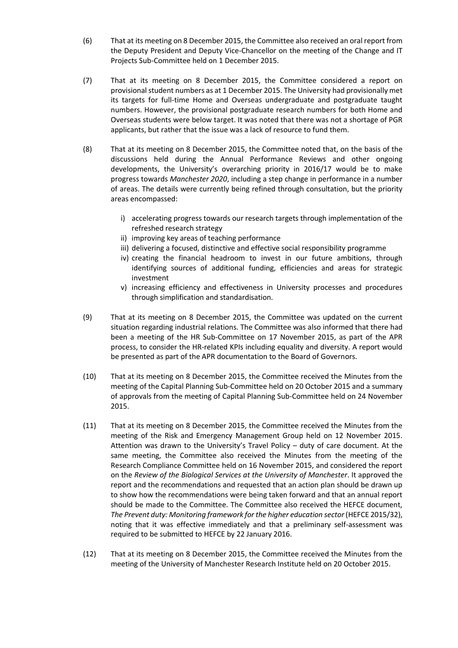- (6) That at its meeting on 8 December 2015, the Committee also received an oral report from the Deputy President and Deputy Vice-Chancellor on the meeting of the Change and IT Projects Sub-Committee held on 1 December 2015.
- (7) That at its meeting on 8 December 2015, the Committee considered a report on provisional student numbers as at 1 December 2015. The University had provisionally met its targets for full-time Home and Overseas undergraduate and postgraduate taught numbers. However, the provisional postgraduate research numbers for both Home and Overseas students were below target. It was noted that there was not a shortage of PGR applicants, but rather that the issue was a lack of resource to fund them.
- (8) That at its meeting on 8 December 2015, the Committee noted that, on the basis of the discussions held during the Annual Performance Reviews and other ongoing developments, the University's overarching priority in 2016/17 would be to make progress towards *Manchester 2020*, including a step change in performance in a number of areas. The details were currently being refined through consultation, but the priority areas encompassed:
	- i) accelerating progress towards our research targets through implementation of the refreshed research strategy
	- ii) improving key areas of teaching performance
	- iii) delivering a focused, distinctive and effective social responsibility programme
	- iv) creating the financial headroom to invest in our future ambitions, through identifying sources of additional funding, efficiencies and areas for strategic investment
	- v) increasing efficiency and effectiveness in University processes and procedures through simplification and standardisation.
- (9) That at its meeting on 8 December 2015, the Committee was updated on the current situation regarding industrial relations. The Committee was also informed that there had been a meeting of the HR Sub-Committee on 17 November 2015, as part of the APR process, to consider the HR-related KPIs including equality and diversity. A report would be presented as part of the APR documentation to the Board of Governors.
- (10) That at its meeting on 8 December 2015, the Committee received the Minutes from the meeting of the Capital Planning Sub-Committee held on 20 October 2015 and a summary of approvals from the meeting of Capital Planning Sub-Committee held on 24 November 2015.
- (11) That at its meeting on 8 December 2015, the Committee received the Minutes from the meeting of the Risk and Emergency Management Group held on 12 November 2015. Attention was drawn to the University's Travel Policy – duty of care document. At the same meeting, the Committee also received the Minutes from the meeting of the Research Compliance Committee held on 16 November 2015, and considered the report on the *Review of the Biological Services at the University of Manchester*. It approved the report and the recommendations and requested that an action plan should be drawn up to show how the recommendations were being taken forward and that an annual report should be made to the Committee. The Committee also received the HEFCE document, *The Prevent duty: Monitoring framework for the higher education sector* (HEFCE 2015/32), noting that it was effective immediately and that a preliminary self-assessment was required to be submitted to HEFCE by 22 January 2016.
- (12) That at its meeting on 8 December 2015, the Committee received the Minutes from the meeting of the University of Manchester Research Institute held on 20 October 2015.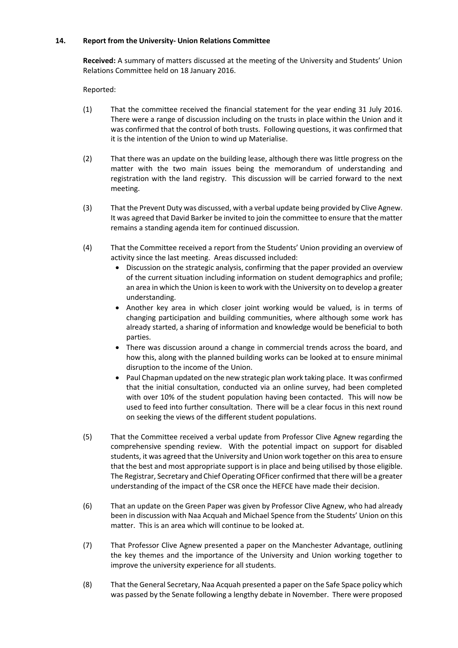### **14. Report from the University- Union Relations Committee**

**Received:** A summary of matters discussed at the meeting of the University and Students' Union Relations Committee held on 18 January 2016.

- (1) That the committee received the financial statement for the year ending 31 July 2016. There were a range of discussion including on the trusts in place within the Union and it was confirmed that the control of both trusts. Following questions, it was confirmed that it is the intention of the Union to wind up Materialise.
- (2) That there was an update on the building lease, although there was little progress on the matter with the two main issues being the memorandum of understanding and registration with the land registry. This discussion will be carried forward to the next meeting.
- (3) That the Prevent Duty was discussed, with a verbal update being provided by Clive Agnew. It was agreed that David Barker be invited to join the committee to ensure that the matter remains a standing agenda item for continued discussion.
- (4) That the Committee received a report from the Students' Union providing an overview of activity since the last meeting. Areas discussed included:
	- Discussion on the strategic analysis, confirming that the paper provided an overview of the current situation including information on student demographics and profile; an area in which the Union is keen to work with the University on to develop a greater understanding.
	- Another key area in which closer joint working would be valued, is in terms of changing participation and building communities, where although some work has already started, a sharing of information and knowledge would be beneficial to both parties.
	- There was discussion around a change in commercial trends across the board, and how this, along with the planned building works can be looked at to ensure minimal disruption to the income of the Union.
	- Paul Chapman updated on the new strategic plan work taking place. It was confirmed that the initial consultation, conducted via an online survey, had been completed with over 10% of the student population having been contacted. This will now be used to feed into further consultation. There will be a clear focus in this next round on seeking the views of the different student populations.
- (5) That the Committee received a verbal update from Professor Clive Agnew regarding the comprehensive spending review. With the potential impact on support for disabled students, it was agreed that the University and Union work together on this area to ensure that the best and most appropriate support is in place and being utilised by those eligible. The Registrar, Secretary and Chief Operating OFficer confirmed that there will be a greater understanding of the impact of the CSR once the HEFCE have made their decision.
- (6) That an update on the Green Paper was given by Professor Clive Agnew, who had already been in discussion with Naa Acquah and Michael Spence from the Students' Union on this matter. This is an area which will continue to be looked at.
- (7) That Professor Clive Agnew presented a paper on the Manchester Advantage, outlining the key themes and the importance of the University and Union working together to improve the university experience for all students.
- (8) That the General Secretary, Naa Acquah presented a paper on the Safe Space policy which was passed by the Senate following a lengthy debate in November. There were proposed